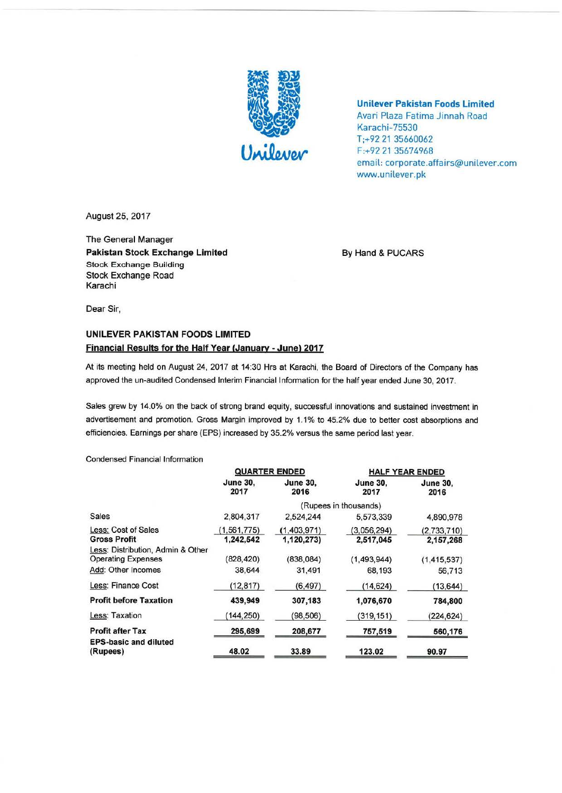

**Unilever Pakistan Foods Limited**  Avari Plaza Fatima Jinnah Road Karachi-75530 T;+92 21 35660062 F:+92 21 35674968 email: corporate.affairs@unilever.com www.unilever.pk

August 25, 2017

The General Manager Pakistan Stock Exchange Limited **By Hand & PUCARS** Stock Exchange Building Stock Exchange Road Karachi

Dear Sir,

## **UNILEVER PAKISTAN FOODS LIMITED Financial Results for the Half Year (January** - **June) 2017**

At its meeting held on August 24, 2017 at 14:30 Hrs at Karachi, the Board of Directors of the Company has approved the un-audited Condensed Interim Financial Information for the half year ended June 30, 2017.

Sales grew by 14.0% on the back of strong brand equity, successful innovations and sustained investment in advertisement and promotion. Gross Margin improved by 1.1% to 45.2% due to better cost absorptions and efficiencies. Earnings per share (EPS) increased by 35.2% versus the same period last year.

Condensed Financial Information

|                                                                | <b>QUARTER ENDED</b>       |                           | <b>HALF YEAR ENDED</b>   |                          |
|----------------------------------------------------------------|----------------------------|---------------------------|--------------------------|--------------------------|
|                                                                | <b>June 30,</b><br>2017    | <b>June 30,</b><br>2016   | <b>June 30.</b><br>2017  | <b>June 30.</b><br>2016  |
|                                                                | (Rupees in thousands)      |                           |                          |                          |
| Sales                                                          | 2.804,317                  | 2,524,244                 | 5,573,339                | 4,890,978                |
| Less: Cost of Sales<br><b>Gross Profit</b>                     | (1, 561, 775)<br>1,242,542 | (1,403,971)<br>1,120,273) | (3,056,294)<br>2,517,045 | (2,733,710)<br>2,157,268 |
| Less: Distribution, Admin & Other<br><b>Operating Expenses</b> | (828, 420)                 | (838,084)                 | (1,493,944)              | (1, 415, 537)            |
| Add: Other Incomes                                             | 38.644                     | 31,491                    | 68,193                   | 56,713                   |
| Less: Finance Cost                                             | (12, 817)                  | (6, 497)                  | (14, 624)                | (13, 644)                |
| <b>Profit before Taxation</b>                                  | 439,949                    | 307,183                   | 1,076,670                | 784,800                  |
| Less: Taxation                                                 | (144, 250)                 | (98, 506)                 | (319, 151)               | (224, 624)               |
| <b>Profit after Tax</b>                                        | 295,699                    | 208,677                   | 757,519                  | 560,176                  |
| <b>EPS-basic and diluted</b><br>(Rupees)                       | 48.02                      | 33.89                     | 123.02                   | 90.97                    |